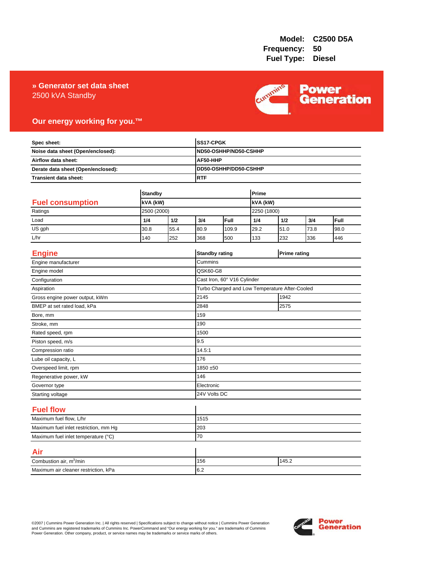### **» Generator set data sheet** 2500 kVA Standby



## **Our energy working for you.™**

| Spec sheet:                                                                                    |                |      | SS17-CPGK             |                                                                          |          |             |                     |      |  |
|------------------------------------------------------------------------------------------------|----------------|------|-----------------------|--------------------------------------------------------------------------|----------|-------------|---------------------|------|--|
| Noise data sheet (Open/enclosed):<br>Airflow data sheet:<br>Derate data sheet (Open/enclosed): |                |      |                       | ND50-OSHHP/ND50-CSHHP<br>AF50-HHP<br>DD50-OSHHP/DD50-CSHHP<br><b>RTF</b> |          |             |                     |      |  |
|                                                                                                |                |      |                       |                                                                          |          |             |                     |      |  |
|                                                                                                |                |      |                       |                                                                          |          |             |                     |      |  |
| Transient data sheet:                                                                          |                |      |                       |                                                                          |          |             |                     |      |  |
|                                                                                                |                |      |                       |                                                                          |          |             |                     |      |  |
|                                                                                                | <b>Standby</b> |      |                       | Prime                                                                    |          |             |                     |      |  |
| <b>Fuel consumption</b>                                                                        | kVA (kW)       |      |                       |                                                                          | kVA (kW) |             |                     |      |  |
| Ratings                                                                                        | 2500 (2000)    |      |                       |                                                                          |          | 2250 (1800) |                     |      |  |
| Load                                                                                           | 1/4            | 1/2  | 3/4                   | Full                                                                     | 1/4      | 1/2         | 3/4                 | Full |  |
| US gph                                                                                         | 30.8           | 55.4 | 80.9                  | 109.9                                                                    | 29.2     | 51.0        | 73.8                | 98.0 |  |
| L/hr                                                                                           | 140            | 252  | 368                   | 500                                                                      | 133      | 232         | 336                 | 446  |  |
| <b>Engine</b>                                                                                  |                |      | <b>Standby rating</b> |                                                                          |          |             | <b>Prime rating</b> |      |  |
| Engine manufacturer                                                                            |                |      | Cummins               |                                                                          |          |             |                     |      |  |
| Engine model                                                                                   |                |      |                       | QSK60-G8                                                                 |          |             |                     |      |  |
| Configuration                                                                                  |                |      |                       | Cast Iron, 60° V16 Cylinder                                              |          |             |                     |      |  |
| Aspiration                                                                                     |                |      |                       | Turbo Charged and Low Temperature After-Cooled                           |          |             |                     |      |  |
| Gross engine power output, kWm                                                                 |                |      | 2145                  | 1942                                                                     |          |             |                     |      |  |
| BMEP at set rated load, kPa                                                                    |                |      | 2848                  | 2575                                                                     |          |             |                     |      |  |
| Bore, mm                                                                                       |                |      | 159                   |                                                                          |          |             |                     |      |  |
| Stroke, mm                                                                                     |                |      | 190                   |                                                                          |          |             |                     |      |  |
| Rated speed, rpm                                                                               |                |      | 1500                  |                                                                          |          |             |                     |      |  |
| Piston speed, m/s                                                                              |                |      | 9.5                   |                                                                          |          |             |                     |      |  |
| Compression ratio                                                                              |                |      | 14.5:1                |                                                                          |          |             |                     |      |  |
| Lube oil capacity, L                                                                           |                |      | 176                   |                                                                          |          |             |                     |      |  |
| Overspeed limit, rpm                                                                           |                |      |                       | 1850 ±50                                                                 |          |             |                     |      |  |
| Regenerative power, kW                                                                         |                |      | 146                   |                                                                          |          |             |                     |      |  |
| Governor type                                                                                  |                |      |                       | Electronic                                                               |          |             |                     |      |  |
| Starting voltage                                                                               |                |      | 24V Volts DC          |                                                                          |          |             |                     |      |  |
| <b>Fuel flow</b>                                                                               |                |      |                       |                                                                          |          |             |                     |      |  |
| Maximum fuel flow, L/hr                                                                        |                |      | 1515                  |                                                                          |          |             |                     |      |  |
| Maximum fuel inlet restriction, mm Hg                                                          |                |      | 203                   |                                                                          |          |             |                     |      |  |
| Maximum fuel inlet temperature (°C)                                                            |                |      | 70                    |                                                                          |          |             |                     |      |  |
| Air                                                                                            |                |      |                       |                                                                          |          |             |                     |      |  |
| Combustion air, m <sup>3</sup> /min                                                            |                |      | 156                   | 145.2                                                                    |          |             |                     |      |  |
| Maximum air cleaner restriction, kPa                                                           |                |      | 6.2                   |                                                                          |          |             |                     |      |  |

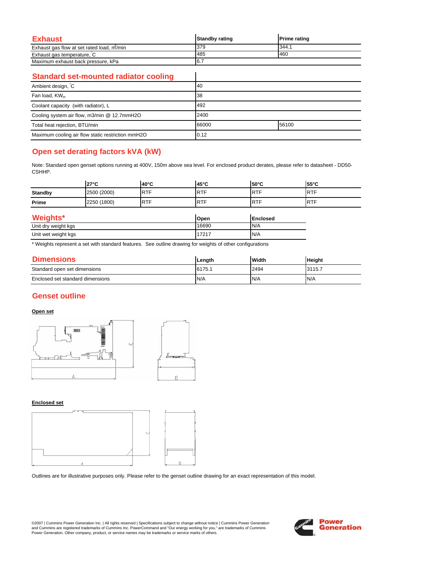| Exhaust                                   | <b>Standby rating</b> | <b>Prime rating</b> |
|-------------------------------------------|-----------------------|---------------------|
| Exhaust gas flow at set rated load, m/min | 379                   | 344:                |
| Exhaust gas temperature, C                | 485                   | 460                 |
| Maximum exhaust back pressure, kPa        | 16.7                  |                     |

 $\overline{\phantom{a}}$ 

### **Standard set-mounted radiator cooling**

| Ambient design, C                                 | 40    |       |
|---------------------------------------------------|-------|-------|
| Fan load, KW <sub>m</sub>                         | 38    |       |
| Coolant capacity (with radiator), L               | 492   |       |
| Cooling system air flow, m3/min @ 12.7mmH2O       | 2400  |       |
| Total heat rejection, BTU/min                     | 66000 | 56100 |
| Maximum cooling air flow static restriction mmH2O | 0.12  |       |

# **Open set derating factors kVA (kW)**

Note: Standard open genset options running at 400V, 150m above sea level. For enclosed product derates, please refer to datasheet - DD50- CSHHP.

|                     | $27^{\circ}$ C | $40^{\circ}$ C | 45°C       | $50^{\circ}$ C  | 55°C       |
|---------------------|----------------|----------------|------------|-----------------|------------|
| <b>Standby</b>      | 2500 (2000)    | <b>RTF</b>     | <b>RTF</b> | <b>RTF</b>      | <b>RTF</b> |
| Prime               | 2250 (1800)    | <b>RTF</b>     | <b>RTF</b> | <b>RTF</b>      | <b>RTF</b> |
| <b>Weights*</b>     |                |                | Open       | <b>Enclosed</b> |            |
| Unit dry weight kgs |                | 16690          | N/A        |                 |            |
| Unit wet weight kgs |                | 17217          | N/A        |                 |            |

\* Weights represent a set with standard features. See outline drawing for weights of other configurations

| <b>Dimensions</b>                | Length | Width | <b>Height</b> |
|----------------------------------|--------|-------|---------------|
| Standard open set dimensions     | 6175.1 | 2494  | 3115.7        |
| Enclosed set standard dimensions | N/A    | N/A   | N/A           |

## **Genset outline**

### **Open set**



#### **Enclosed set**



Outlines are for illustrative purposes only. Please refer to the genset outline drawing for an exact representation of this model.

©2007 | Cummins Power Generation Inc. | All rights reserved | Specifications subject to change without notice | Cummins Power Generation and Cummins are registered trademarks of Cummins Inc. PowerCommand and "Our energy working for you." are trademarks of Cummins<br>Power Generation. Other company, product, or service names may be trademarks or service marks o